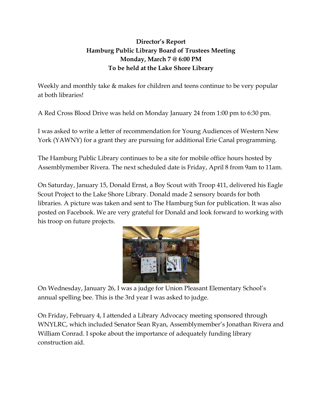## **Director's Report Hamburg Public Library Board of Trustees Meeting Monday, March 7 @ 6:00 PM To be held at the Lake Shore Library**

Weekly and monthly take & makes for children and teens continue to be very popular at both libraries!

A Red Cross Blood Drive was held on Monday January 24 from 1:00 pm to 6:30 pm.

I was asked to write a letter of recommendation for Young Audiences of Western New York (YAWNY) for a grant they are pursuing for additional Erie Canal programming.

The Hamburg Public Library continues to be a site for mobile office hours hosted by Assemblymember Rivera. The next scheduled date is Friday, April 8 from 9am to 11am.

On Saturday, January 15, Donald Ernst, a Boy Scout with Troop 411, delivered his Eagle Scout Project to the Lake Shore Library. Donald made 2 sensory boards for both libraries. A picture was taken and sent to The Hamburg Sun for publication. It was also posted on Facebook. We are very grateful for Donald and look forward to working with his troop on future projects.



On Wednesday, January 26, I was a judge for Union Pleasant Elementary School's annual spelling bee. This is the 3rd year I was asked to judge.

On Friday, February 4, I attended a Library Advocacy meeting sponsored through WNYLRC, which included Senator Sean Ryan, Assemblymember's Jonathan Rivera and William Conrad. I spoke about the importance of adequately funding library construction aid.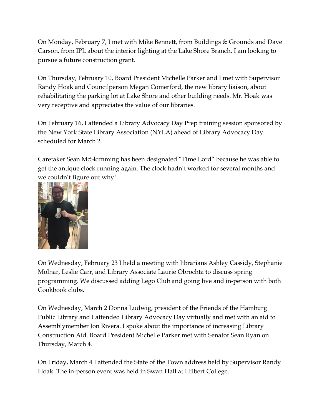On Monday, February 7, I met with Mike Bennett, from Buildings & Grounds and Dave Carson, from IPL about the interior lighting at the Lake Shore Branch. I am looking to pursue a future construction grant.

On Thursday, February 10, Board President Michelle Parker and I met with Supervisor Randy Hoak and Councilperson Megan Comerford, the new library liaison, about rehabilitating the parking lot at Lake Shore and other building needs. Mr. Hoak was very receptive and appreciates the value of our libraries.

On February 16, I attended a Library Advocacy Day Prep training session sponsored by the New York State Library Association (NYLA) ahead of Library Advocacy Day scheduled for March 2.

Caretaker Sean McSkimming has been designated "Time Lord" because he was able to get the antique clock running again. The clock hadn't worked for several months and we couldn't figure out why!



On Wednesday, February 23 I held a meeting with librarians Ashley Cassidy, Stephanie Molnar, Leslie Carr, and Library Associate Laurie Obrochta to discuss spring programming. We discussed adding Lego Club and going live and in-person with both Cookbook clubs.

On Wednesday, March 2 Donna Ludwig, president of the Friends of the Hamburg Public Library and I attended Library Advocacy Day virtually and met with an aid to Assemblymember Jon Rivera. I spoke about the importance of increasing Library Construction Aid. Board President Michelle Parker met with Senator Sean Ryan on Thursday, March 4.

On Friday, March 4 I attended the State of the Town address held by Supervisor Randy Hoak. The in-person event was held in Swan Hall at Hilbert College.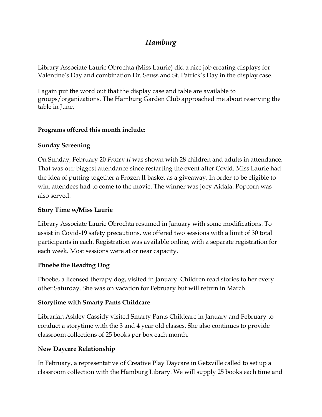## *Hamburg*

Library Associate Laurie Obrochta (Miss Laurie) did a nice job creating displays for Valentine's Day and combination Dr. Seuss and St. Patrick's Day in the display case.

I again put the word out that the display case and table are available to groups/organizations. The Hamburg Garden Club approached me about reserving the table in June.

#### **Programs offered this month include:**

#### **Sunday Screening**

On Sunday, February 20 *Frozen II* was shown with 28 children and adults in attendance. That was our biggest attendance since restarting the event after Covid. Miss Laurie had the idea of putting together a Frozen II basket as a giveaway. In order to be eligible to win, attendees had to come to the movie. The winner was Joey Aidala. Popcorn was also served.

#### **Story Time w/Miss Laurie**

Library Associate Laurie Obrochta resumed in January with some modifications. To assist in Covid-19 safety precautions, we offered two sessions with a limit of 30 total participants in each. Registration was available online, with a separate registration for each week. Most sessions were at or near capacity.

#### **Phoebe the Reading Dog**

Phoebe, a licensed therapy dog, visited in January. Children read stories to her every other Saturday. She was on vacation for February but will return in March.

## **Storytime with Smarty Pants Childcare**

Librarian Ashley Cassidy visited Smarty Pants Childcare in January and February to conduct a storytime with the 3 and 4 year old classes. She also continues to provide classroom collections of 25 books per box each month.

## **New Daycare Relationship**

In February, a representative of Creative Play Daycare in Getzville called to set up a classroom collection with the Hamburg Library. We will supply 25 books each time and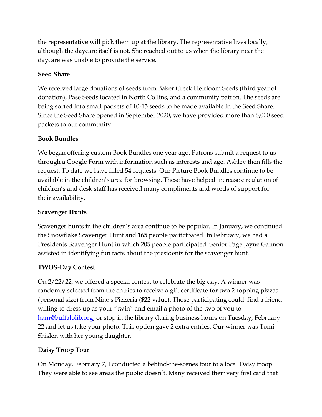the representative will pick them up at the library. The representative lives locally, although the daycare itself is not. She reached out to us when the library near the daycare was unable to provide the service.

## **Seed Share**

We received large donations of seeds from Baker Creek Heirloom Seeds (third year of donation), Pase Seeds located in North Collins, and a community patron. The seeds are being sorted into small packets of 10-15 seeds to be made available in the Seed Share. Since the Seed Share opened in September 2020, we have provided more than 6,000 seed packets to our community.

## **Book Bundles**

We began offering custom Book Bundles one year ago. Patrons submit a request to us through a Google Form with information such as interests and age. Ashley then fills the request. To date we have filled 54 requests. Our Picture Book Bundles continue to be available in the children's area for browsing. These have helped increase circulation of children's and desk staff has received many compliments and words of support for their availability.

## **Scavenger Hunts**

Scavenger hunts in the children's area continue to be popular. In January, we continued the Snowflake Scavenger Hunt and 165 people participated. In February, we had a Presidents Scavenger Hunt in which 205 people participated. Senior Page Jayne Gannon assisted in identifying fun facts about the presidents for the scavenger hunt.

## **TWOS-Day Contest**

On 2/22/22, we offered a special contest to celebrate the big day. A winner was randomly selected from the entries to receive a gift certificate for two 2-topping pizzas (personal size) from Nino's Pizzeria (\$22 value). Those participating could: find a friend willing to dress up as your "twin" and email a photo of the two of you to [ham@buffalolib.org,](mailto:ham@buffalolib.org) or stop in the library during business hours on Tuesday, February 22 and let us take your photo. This option gave 2 extra entries. Our winner was Tomi Shisler, with her young daughter.

## **Daisy Troop Tour**

On Monday, February 7, I conducted a behind-the-scenes tour to a local Daisy troop. They were able to see areas the public doesn't. Many received their very first card that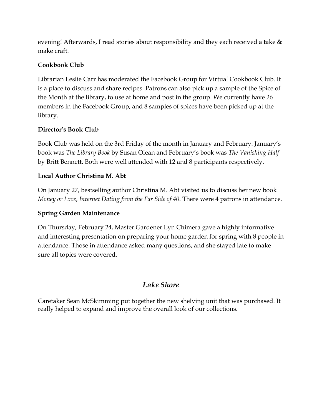evening! Afterwards, I read stories about responsibility and they each received a take & make craft.

## **Cookbook Club**

Librarian Leslie Carr has moderated the Facebook Group for Virtual Cookbook Club. It is a place to discuss and share recipes. Patrons can also pick up a sample of the Spice of the Month at the library, to use at home and post in the group. We currently have 26 members in the Facebook Group, and 8 samples of spices have been picked up at the library.

#### **Director's Book Club**

Book Club was held on the 3rd Friday of the month in January and February. January's book was *The Library Book* by Susan Olean and February's book was *The Vanishing Half* by Britt Bennett. Both were well attended with 12 and 8 participants respectively.

#### **Local Author Christina M. Abt**

On January 27, bestselling author Christina M. Abt visited us to discuss her new book *Money or Love*, *Internet Dating from the Far Side of 40*. There were 4 patrons in attendance.

#### **Spring Garden Maintenance**

On Thursday, February 24, Master Gardener Lyn Chimera gave a highly informative and interesting presentation on preparing your home garden for spring with 8 people in attendance. Those in attendance asked many questions, and she stayed late to make sure all topics were covered.

## *Lake Shore*

Caretaker Sean McSkimming put together the new shelving unit that was purchased. It really helped to expand and improve the overall look of our collections.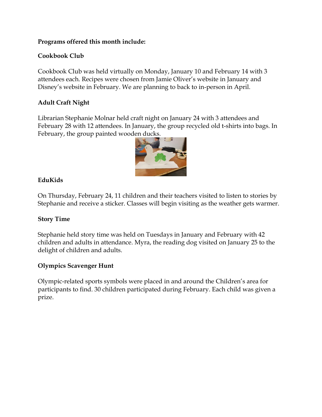#### **Programs offered this month include:**

#### **Cookbook Club**

Cookbook Club was held virtually on Monday, January 10 and February 14 with 3 attendees each. Recipes were chosen from Jamie Oliver's website in January and Disney's website in February. We are planning to back to in-person in April.

#### **Adult Craft Night**

Librarian Stephanie Molnar held craft night on January 24 with 3 attendees and February 28 with 12 attendees. In January, the group recycled old t-shirts into bags. In February, the group painted wooden ducks.



#### **EduKids**

On Thursday, February 24, 11 children and their teachers visited to listen to stories by Stephanie and receive a sticker. Classes will begin visiting as the weather gets warmer.

## **Story Time**

Stephanie held story time was held on Tuesdays in January and February with 42 children and adults in attendance. Myra, the reading dog visited on January 25 to the delight of children and adults.

## **Olympics Scavenger Hunt**

Olympic-related sports symbols were placed in and around the Children's area for participants to find. 30 children participated during February. Each child was given a prize.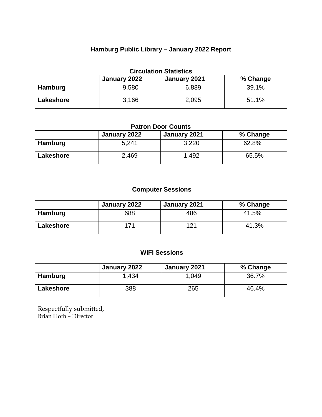#### **Hamburg Public Library – January 2022 Report**

#### **Circulation Statistics**

|                | January 2022 | January 2021 | % Change |
|----------------|--------------|--------------|----------|
| <b>Hamburg</b> | 9,580        | 6,889        | 39.1%    |
| Lakeshore      | 3.166        | 2,095        | 51.1%    |

#### **Patron Door Counts**

|                | January 2022 | January 2021 | % Change |
|----------------|--------------|--------------|----------|
| <b>Hamburg</b> | 5,241        | 3,220        | 62.8%    |
| Lakeshore      | 2,469        | 1,492        | 65.5%    |

## **Computer Sessions**

|                | January 2022 | January 2021 | % Change |
|----------------|--------------|--------------|----------|
| <b>Hamburg</b> | 688          | 486          | 41.5%    |
| Lakeshore      | 171          | 121          | 41.3%    |

#### **WiFi Sessions**

|                | January 2022 | January 2021 | % Change |
|----------------|--------------|--------------|----------|
| <b>Hamburg</b> | .434         | 1.049        | 36.7%    |
| Lakeshore      | 388          | 265          | 46.4%    |

Respectfully submitted, Brian Hoth – Director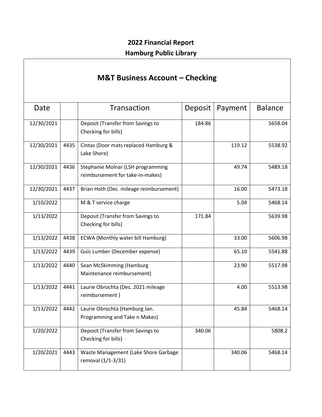## **2022 Financial Report Hamburg Public Library**

# **M&T Business Account – Checking**

| Date       |      | Transaction                                                           | Deposit | Payment | <b>Balance</b> |
|------------|------|-----------------------------------------------------------------------|---------|---------|----------------|
| 12/30/2021 |      | Deposit (Transfer from Savings to<br>Checking for bills)              | 184.86  |         | 5658.04        |
| 12/30/2021 | 4435 | Cintas (Door mats replaced Hamburg &<br>Lake Shore)                   |         | 119.12  | 5538.92        |
| 12/30/2021 | 4436 | Stephanie Molnar (LSH programming<br>reimbursement for take-in-makes) |         | 49.74   | 5489.18        |
| 12/30/2021 | 4437 | Brian Hoth (Dec. mileage reimbursement)                               |         | 16.00   | 5473.18        |
| 1/10/2022  |      | M & T service charge                                                  |         | 5.04    | 5468.14        |
| 1/13/2022  |      | Deposit (Transfer from Savings to<br>Checking for bills)              | 171.84  |         | 5639.98        |
| 1/13/2022  | 4438 | ECWA (Monthly water bill Hamburg)                                     |         | 33.00   | 5606.98        |
| 1/13/2022  | 4439 | Guis Lumber (December expense)                                        |         | 65.10   | 5541.88        |
| 1/13/2022  | 4440 | Sean McSkimming (Hamburg<br>Maintenance reimbursement)                |         | 23.90   | 5517.98        |
| 1/13/2022  | 4441 | Laurie Obrochta (Dec. 2021 mileage<br>reimbursement)                  |         | 4.00    | 5513.98        |
| 1/13/2022  | 4442 | Laurie Obrochta (Hamburg Jan.<br>Programming and Take n Makes)        |         | 45.84   | 5468.14        |
| 1/20/2022  |      | Deposit (Transfer from Savings to<br>Checking for bills)              | 340.06  |         | 5808.2         |
| 1/20/2021  | 4443 | Waste Management (Lake Shore Garbage<br>removal (1/1-3/31)            |         | 340.06  | 5468.14        |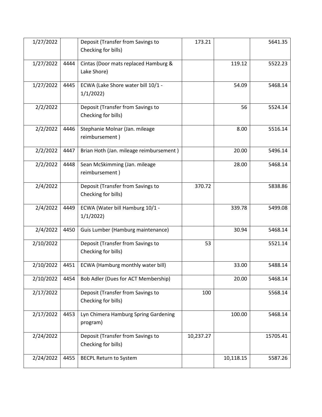| 1/27/2022 |      | Deposit (Transfer from Savings to       | 173.21    |           | 5641.35  |
|-----------|------|-----------------------------------------|-----------|-----------|----------|
|           |      | Checking for bills)                     |           |           |          |
| 1/27/2022 | 4444 | Cintas (Door mats replaced Hamburg &    |           | 119.12    | 5522.23  |
|           |      | Lake Shore)                             |           |           |          |
| 1/27/2022 | 4445 | ECWA (Lake Shore water bill 10/1 -      |           | 54.09     | 5468.14  |
|           |      | 1/1/2022                                |           |           |          |
| 2/2/2022  |      | Deposit (Transfer from Savings to       |           | 56        | 5524.14  |
|           |      | Checking for bills)                     |           |           |          |
| 2/2/2022  | 4446 | Stephanie Molnar (Jan. mileage          |           | 8.00      | 5516.14  |
|           |      | reimbursement)                          |           |           |          |
| 2/2/2022  | 4447 | Brian Hoth (Jan. mileage reimbursement) |           | 20.00     | 5496.14  |
| 2/2/2022  | 4448 | Sean McSkimming (Jan. mileage           |           | 28.00     | 5468.14  |
|           |      | reimbursement)                          |           |           |          |
| 2/4/2022  |      | Deposit (Transfer from Savings to       | 370.72    |           | 5838.86  |
|           |      | Checking for bills)                     |           |           |          |
| 2/4/2022  | 4449 | ECWA (Water bill Hamburg 10/1 -         |           | 339.78    | 5499.08  |
|           |      | 1/1/2022                                |           |           |          |
| 2/4/2022  | 4450 | Guis Lumber (Hamburg maintenance)       |           | 30.94     | 5468.14  |
| 2/10/2022 |      | Deposit (Transfer from Savings to       | 53        |           | 5521.14  |
|           |      | Checking for bills)                     |           |           |          |
| 2/10/2022 | 4451 | ECWA (Hamburg monthly water bill)       |           | 33.00     | 5488.14  |
| 2/10/2022 | 4454 | Bob Adler (Dues for ACT Membership)     |           | 20.00     | 5468.14  |
| 2/17/2022 |      | Deposit (Transfer from Savings to       | 100       |           | 5568.14  |
|           |      | Checking for bills)                     |           |           |          |
| 2/17/2022 | 4453 | Lyn Chimera Hamburg Spring Gardening    |           | 100.00    | 5468.14  |
|           |      | program)                                |           |           |          |
| 2/24/2022 |      | Deposit (Transfer from Savings to       | 10,237.27 |           | 15705.41 |
|           |      | Checking for bills)                     |           |           |          |
| 2/24/2022 | 4455 | <b>BECPL Return to System</b>           |           | 10,118.15 | 5587.26  |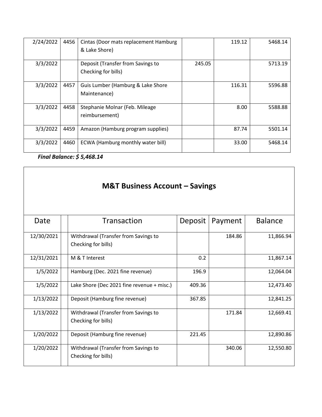| 2/24/2022 | 4456 | Cintas (Door mats replacement Hamburg<br>& Lake Shore)   |        | 119.12 | 5468.14 |
|-----------|------|----------------------------------------------------------|--------|--------|---------|
| 3/3/2022  |      | Deposit (Transfer from Savings to<br>Checking for bills) | 245.05 |        | 5713.19 |
| 3/3/2022  | 4457 | Guis Lumber (Hamburg & Lake Shore<br>Maintenance)        |        | 116.31 | 5596.88 |
| 3/3/2022  | 4458 | Stephanie Molnar (Feb. Mileage<br>reimbursement)         |        | 8.00   | 5588.88 |
| 3/3/2022  | 4459 | Amazon (Hamburg program supplies)                        |        | 87.74  | 5501.14 |
| 3/3/2022  | 4460 | ECWA (Hamburg monthly water bill)                        |        | 33.00  | 5468.14 |

*Final Balance: \$ 5,468.14*

# **M&T Business Account – Savings**

| Date       | Transaction                                | Deposit | Payment | <b>Balance</b> |
|------------|--------------------------------------------|---------|---------|----------------|
| 12/30/2021 | Withdrawal (Transfer from Savings to       |         | 184.86  | 11,866.94      |
|            | Checking for bills)                        |         |         |                |
| 12/31/2021 | M & T Interest                             | 0.2     |         | 11,867.14      |
| 1/5/2022   | Hamburg (Dec. 2021 fine revenue)           | 196.9   |         | 12,064.04      |
| 1/5/2022   | Lake Shore (Dec 2021 fine revenue + misc.) | 409.36  |         | 12,473.40      |
| 1/13/2022  | Deposit (Hamburg fine revenue)             | 367.85  |         | 12,841.25      |
| 1/13/2022  | Withdrawal (Transfer from Savings to       |         | 171.84  | 12,669.41      |
|            | Checking for bills)                        |         |         |                |
| 1/20/2022  | Deposit (Hamburg fine revenue)             | 221.45  |         | 12,890.86      |
| 1/20/2022  | Withdrawal (Transfer from Savings to       |         | 340.06  | 12,550.80      |
|            | Checking for bills)                        |         |         |                |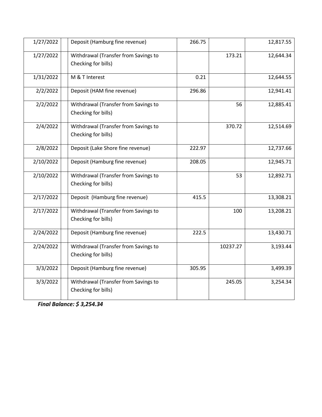| 1/27/2022 | Deposit (Hamburg fine revenue)       | 266.75 |          | 12,817.55 |
|-----------|--------------------------------------|--------|----------|-----------|
|           |                                      |        |          |           |
| 1/27/2022 | Withdrawal (Transfer from Savings to |        | 173.21   | 12,644.34 |
|           | Checking for bills)                  |        |          |           |
| 1/31/2022 | M & T Interest                       | 0.21   |          | 12,644.55 |
|           |                                      |        |          |           |
| 2/2/2022  | Deposit (HAM fine revenue)           | 296.86 |          | 12,941.41 |
| 2/2/2022  | Withdrawal (Transfer from Savings to |        | 56       | 12,885.41 |
|           | Checking for bills)                  |        |          |           |
| 2/4/2022  | Withdrawal (Transfer from Savings to |        | 370.72   | 12,514.69 |
|           | Checking for bills)                  |        |          |           |
| 2/8/2022  | Deposit (Lake Shore fine revenue)    | 222.97 |          | 12,737.66 |
| 2/10/2022 | Deposit (Hamburg fine revenue)       | 208.05 |          | 12,945.71 |
| 2/10/2022 | Withdrawal (Transfer from Savings to |        | 53       | 12,892.71 |
|           | Checking for bills)                  |        |          |           |
| 2/17/2022 | Deposit (Hamburg fine revenue)       | 415.5  |          | 13,308.21 |
| 2/17/2022 | Withdrawal (Transfer from Savings to |        | 100      | 13,208.21 |
|           | Checking for bills)                  |        |          |           |
| 2/24/2022 | Deposit (Hamburg fine revenue)       | 222.5  |          | 13,430.71 |
| 2/24/2022 | Withdrawal (Transfer from Savings to |        | 10237.27 | 3,193.44  |
|           | Checking for bills)                  |        |          |           |
| 3/3/2022  | Deposit (Hamburg fine revenue)       | 305.95 |          | 3,499.39  |
| 3/3/2022  | Withdrawal (Transfer from Savings to |        | 245.05   | 3,254.34  |
|           | Checking for bills)                  |        |          |           |
|           |                                      |        |          |           |

*Final Balance: \$ 3,254.34*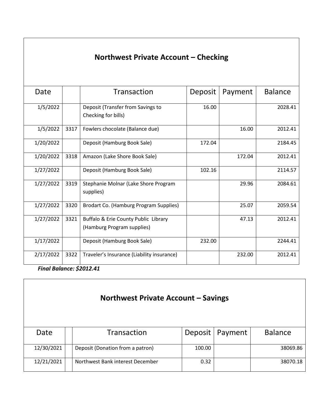# **Northwest Private Account – Checking**

| Date      |      | Transaction                                                        | Deposit | Payment | <b>Balance</b> |
|-----------|------|--------------------------------------------------------------------|---------|---------|----------------|
| 1/5/2022  |      | Deposit (Transfer from Savings to<br>Checking for bills)           | 16.00   |         | 2028.41        |
| 1/5/2022  | 3317 | Fowlers chocolate (Balance due)                                    |         | 16.00   | 2012.41        |
| 1/20/2022 |      | Deposit (Hamburg Book Sale)                                        | 172.04  |         | 2184.45        |
| 1/20/2022 | 3318 | Amazon (Lake Shore Book Sale)                                      |         | 172.04  | 2012.41        |
| 1/27/2022 |      | Deposit (Hamburg Book Sale)                                        | 102.16  |         | 2114.57        |
| 1/27/2022 | 3319 | Stephanie Molnar (Lake Shore Program<br>supplies)                  |         | 29.96   | 2084.61        |
| 1/27/2022 | 3320 | Brodart Co. (Hamburg Program Supplies)                             |         | 25.07   | 2059.54        |
| 1/27/2022 | 3321 | Buffalo & Erie County Public Library<br>(Hamburg Program supplies) |         | 47.13   | 2012.41        |
| 1/17/2022 |      | Deposit (Hamburg Book Sale)                                        | 232.00  |         | 2244.41        |
| 2/17/2022 | 3322 | Traveler's Insurance (Liability insurance)                         |         | 232.00  | 2012.41        |

*Final Balance: \$2012.41*

 $\mathsf{l}$ 

| Northwest Private Account - Savings |  |                                  |         |         |                |
|-------------------------------------|--|----------------------------------|---------|---------|----------------|
| Date                                |  | Transaction                      | Deposit | Payment | <b>Balance</b> |
| 12/30/2021                          |  | Deposit (Donation from a patron) | 100.00  |         | 38069.86       |
| 12/21/2021                          |  | Northwest Bank interest December | 0.32    |         | 38070.18       |